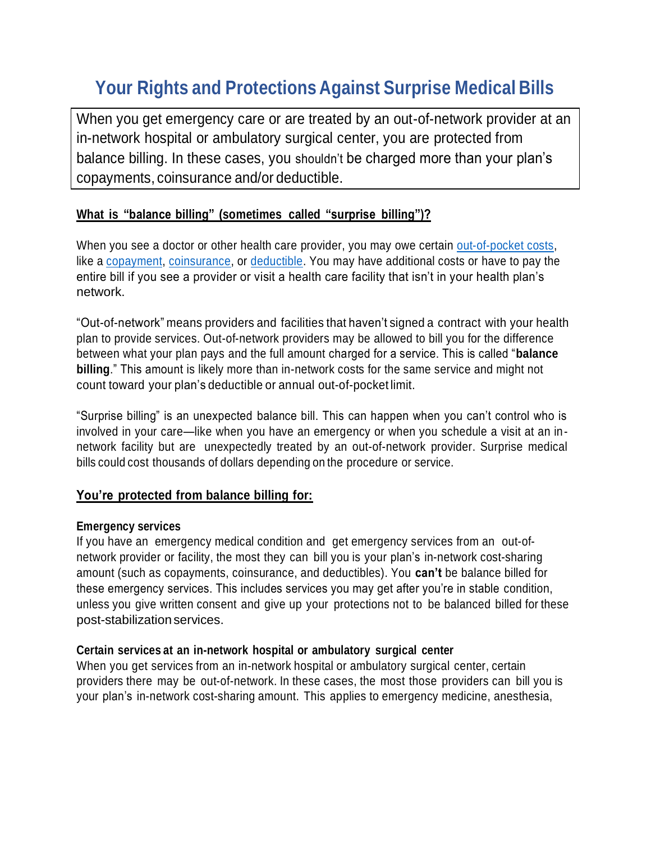# **Your Rights and Protections Against Surprise Medical Bills**

When you get emergency care or are treated by an out-of-network provider at an in-network hospital or ambulatory surgical center, you are protected from balance billing. In these cases, you shouldn't be charged more than your plan's copayments, coinsurance and/or deductible.

# **What is "balance billing" (sometimes called "surprise billing")?**

When you see a doctor or other health care provider, you may owe certain [out-of-pocket costs,](https://www.healthcare.gov/glossary/out-of-pocket-costs/) like a [copayment,](https://www.healthcare.gov/glossary/co-payment/) [coinsurance,](https://www.healthcare.gov/glossary/co-insurance/) or [deductible.](https://www.healthcare.gov/glossary/deductible/) You may have additional costs or have to pay the entire bill if you see a provider or visit a health care facility that isn't in your health plan's network.

"Out-of-network" means providers and facilities that haven't signed a contract with your health plan to provide services. Out-of-network providers may be allowed to bill you for the difference between what your plan pays and the full amount charged for a service. This is called "**balance billing**." This amount is likely more than in-network costs for the same service and might not count toward your plan's deductible or annual out-of-pocket limit.

"Surprise billing" is an unexpected balance bill. This can happen when you can't control who is involved in your care—like when you have an emergency or when you schedule a visit at an innetwork facility but are unexpectedly treated by an out-of-network provider. Surprise medical bills could cost thousands of dollars depending on the procedure or service.

## **You're protected from balance billing for:**

#### **Emergency services**

If you have an emergency medical condition and get emergency services from an out-ofnetwork provider or facility, the most they can bill you is your plan's in-network cost-sharing amount (such as copayments, coinsurance, and deductibles). You **can't** be balance billed for these emergency services. This includes services you may get after you're in stable condition, unless you give written consent and give up your protections not to be balanced billed for these post-stabilization services.

#### **Certain services at an in-network hospital or ambulatory surgical center**

When you get services from an in-network hospital or ambulatory surgical center, certain providers there may be out-of-network. In these cases, the most those providers can bill you is your plan's in-network cost-sharing amount. This applies to emergency medicine, anesthesia,